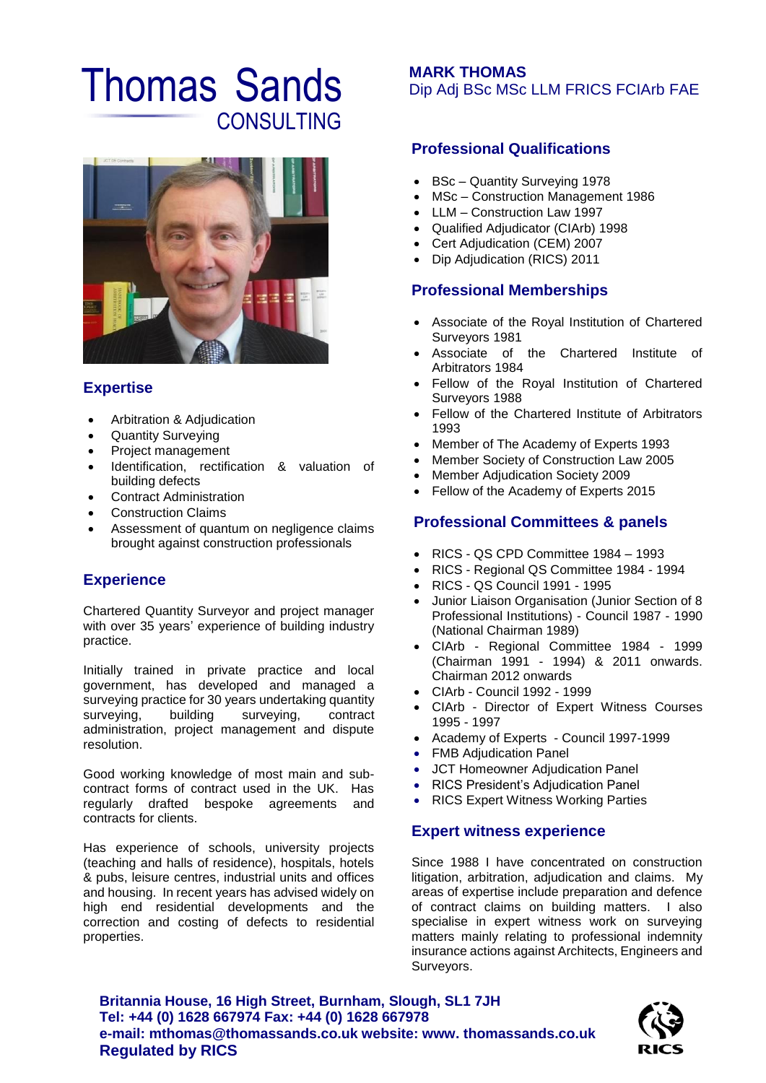# Thomas Sands **CONSULTING**



### **Expertise**

- Arbitration & Adjudication
- Quantity Surveying
- Project management
- Identification, rectification & valuation of building defects
- Contract Administration
- Construction Claims
- Assessment of quantum on negligence claims brought against construction professionals

## **Experience**

Chartered Quantity Surveyor and project manager with over 35 years' experience of building industry practice.

Initially trained in private practice and local government, has developed and managed a surveying practice for 30 years undertaking quantity surveying, building surveying, contract administration, project management and dispute resolution.

Good working knowledge of most main and subcontract forms of contract used in the UK. Has regularly drafted bespoke agreements and contracts for clients.

Has experience of schools, university projects (teaching and halls of residence), hospitals, hotels & pubs, leisure centres, industrial units and offices and housing. In recent years has advised widely on high end residential developments and the correction and costing of defects to residential properties.

### **MARK THOMAS** Dip Adj BSc MSc LLM FRICS FCIArb FAE

# **Professional Qualifications**

- BSc Quantity Surveying 1978
- MSc Construction Management 1986
- LLM Construction Law 1997
- Qualified Adjudicator (CIArb) 1998
- Cert Adjudication (CEM) 2007
- Dip Adjudication (RICS) 2011

### **Professional Memberships**

- Associate of the Royal Institution of Chartered Surveyors 1981
- Associate of the Chartered Institute of Arbitrators 1984
- Fellow of the Royal Institution of Chartered Surveyors 1988
- Fellow of the Chartered Institute of Arbitrators 1993
- Member of The Academy of Experts 1993
- Member Society of Construction Law 2005
- Member Adjudication Society 2009
- Fellow of the Academy of Experts 2015

### **Professional Committees & panels**

- RICS QS CPD Committee 1984 1993
- RICS Regional QS Committee 1984 1994
- RICS QS Council 1991 1995
- Junior Liaison Organisation (Junior Section of 8 Professional Institutions) - Council 1987 - 1990 (National Chairman 1989)
- CIArb Regional Committee 1984 1999 (Chairman 1991 - 1994) & 2011 onwards. Chairman 2012 onwards
- CIArb Council 1992 1999
- CIArb Director of Expert Witness Courses 1995 - 1997
- Academy of Experts Council 1997-1999
- FMB Adjudication Panel
- JCT Homeowner Adjudication Panel
- RICS President's Adjudication Panel
- RICS Expert Witness Working Parties

#### **Expert witness experience**

Since 1988 I have concentrated on construction litigation, arbitration, adjudication and claims. My areas of expertise include preparation and defence of contract claims on building matters. I also specialise in expert witness work on surveying matters mainly relating to professional indemnity insurance actions against Architects, Engineers and Surveyors.

**Britannia House, 16 High Street, Burnham, Slough, SL1 7JH Tel: +44 (0) 1628 667974 Fax: +44 (0) 1628 667978 e-mail: mthomas@thomassands.co.uk website: www. thomassands.co.uk Regulated by RICS**